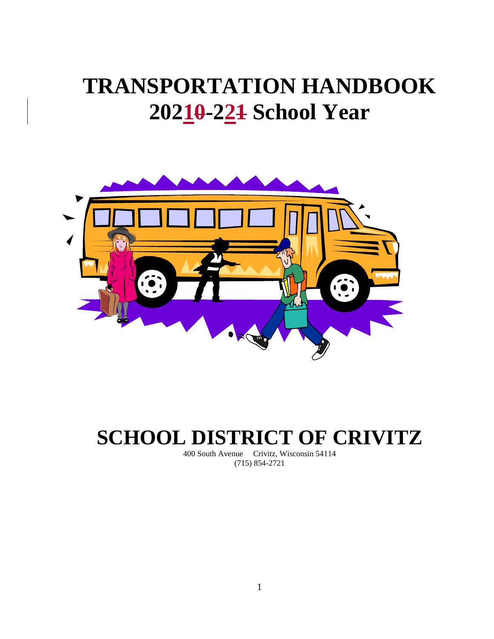# **TRANSPORTATION HANDBOOK 20210-221 School Year**



## **SCHOOL DISTRICT OF CRIVITZ**

400 South Avenue Crivitz, Wisconsin 54114 (715) 854-2721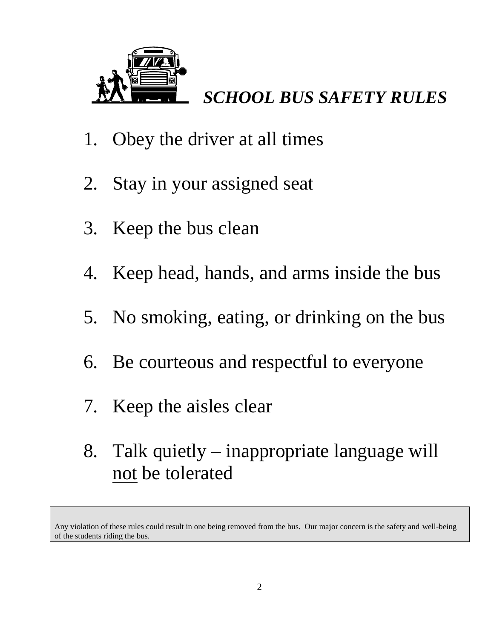

## *SCHOOL BUS SAFETY RULES*

- 1. Obey the driver at all times
- 2. Stay in your assigned seat
- 3. Keep the bus clean
- 4. Keep head, hands, and arms inside the bus
- 5. No smoking, eating, or drinking on the bus
- 6. Be courteous and respectful to everyone
- 7. Keep the aisles clear
- 8. Talk quietly inappropriate language will not be tolerated

Any violation of these rules could result in one being removed from the bus. Our major concern is the safety and well-being of the students riding the bus.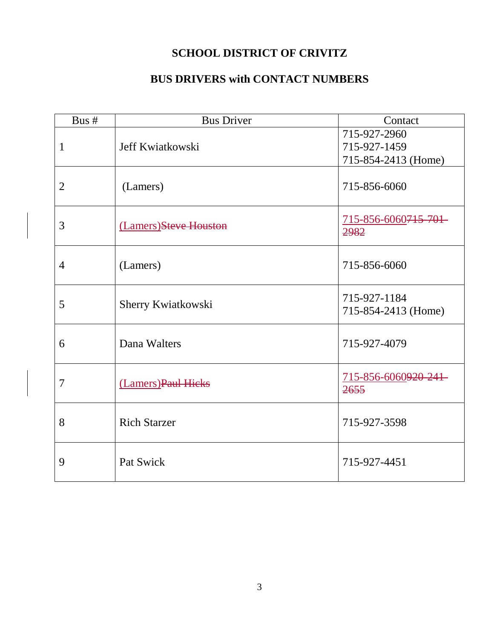### **SCHOOL DISTRICT OF CRIVITZ**

### **BUS DRIVERS with CONTACT NUMBERS**

| Bus #          | <b>Bus Driver</b>     | Contact                                             |
|----------------|-----------------------|-----------------------------------------------------|
| $\mathbf{1}$   | Jeff Kwiatkowski      | 715-927-2960<br>715-927-1459<br>715-854-2413 (Home) |
| $\overline{2}$ | (Lamers)              | 715-856-6060                                        |
| 3              | (Lamers)Steve Houston | 715-856-6060715-701-<br>2982                        |
| $\overline{4}$ | (Lamers)              | 715-856-6060                                        |
| 5              | Sherry Kwiatkowski    | 715-927-1184<br>715-854-2413 (Home)                 |
| 6              | Dana Walters          | 715-927-4079                                        |
| $\overline{7}$ | (Lamers) Paul Hicks   | 715-856-6060920-241-<br>2655                        |
| 8              | <b>Rich Starzer</b>   | 715-927-3598                                        |
| 9              | Pat Swick             | 715-927-4451                                        |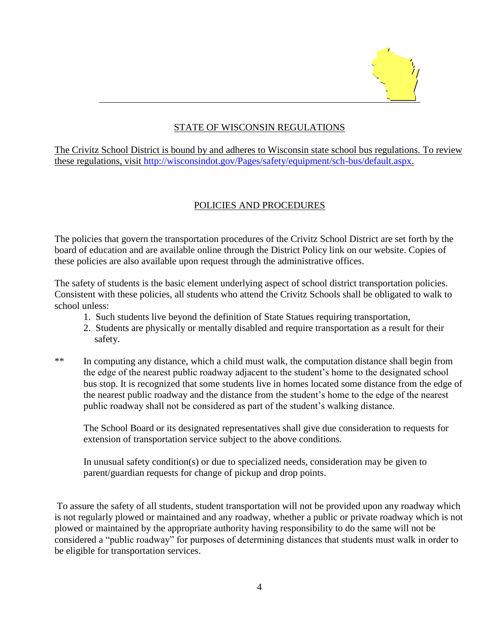

#### STATE OF WISCONSIN REGULATIONS

 $\overline{a}$ 

The Crivitz School District is bound by and adheres to Wisconsin state school bus regulations. To review these regulations, visit [http://wisconsindot.gov/Pages/safety/equipment/sch-bus/default.aspx.](http://wisconsindot.gov/Pages/safety/equipment/sch-bus/default.aspx)

#### POLICIES AND PROCEDURES

The policies that govern the transportation procedures of the Crivitz School District are set forth by the board of education and are available online through the District Policy link on our website. Copies of these policies are also available upon request through the administrative offices.

The safety of students is the basic element underlying aspect of school district transportation policies. Consistent with these policies, all students who attend the Crivitz Schools shall be obligated to walk to school unless:

- 1. Such students live beyond the definition of State Statues requiring transportation,
- 2. Students are physically or mentally disabled and require transportation as a result for their safety.
- \*\* In computing any distance, which a child must walk, the computation distance shall begin from the edge of the nearest public roadway adjacent to the student's home to the designated school bus stop. It is recognized that some students live in homes located some distance from the edge of the nearest public roadway and the distance from the student's home to the edge of the nearest public roadway shall not be considered as part of the student's walking distance.

The School Board or its designated representatives shall give due consideration to requests for extension of transportation service subject to the above conditions.

In unusual safety condition(s) or due to specialized needs, consideration may be given to parent/guardian requests for change of pickup and drop points.

To assure the safety of all students, student transportation will not be provided upon any roadway which is not regularly plowed or maintained and any roadway, whether a public or private roadway which is not plowed or maintained by the appropriate authority having responsibility to do the same will not be considered a "public roadway" for purposes of determining distances that students must walk in order to be eligible for transportation services.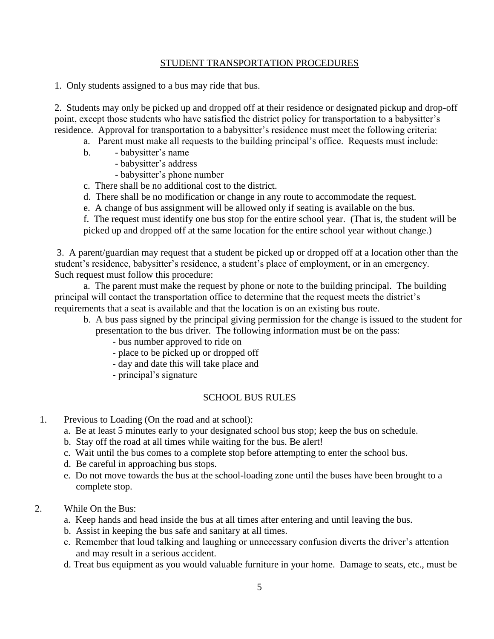#### STUDENT TRANSPORTATION PROCEDURES

1. Only students assigned to a bus may ride that bus.

2. Students may only be picked up and dropped off at their residence or designated pickup and drop-off point, except those students who have satisfied the district policy for transportation to a babysitter's residence. Approval for transportation to a babysitter's residence must meet the following criteria:

- a. Parent must make all requests to the building principal's office. Requests must include:
- b. babysitter's name
	- babysitter's address
	- babysitter's phone number
- c. There shall be no additional cost to the district.
- d. There shall be no modification or change in any route to accommodate the request.
- e. A change of bus assignment will be allowed only if seating is available on the bus.

f. The request must identify one bus stop for the entire school year. (That is, the student will be picked up and dropped off at the same location for the entire school year without change.)

3. A parent/guardian may request that a student be picked up or dropped off at a location other than the student's residence, babysitter's residence, a student's place of employment, or in an emergency. Such request must follow this procedure:

a. The parent must make the request by phone or note to the building principal. The building principal will contact the transportation office to determine that the request meets the district's requirements that a seat is available and that the location is on an existing bus route.

- b. A bus pass signed by the principal giving permission for the change is issued to the student for presentation to the bus driver. The following information must be on the pass:
	- bus number approved to ride on
	- place to be picked up or dropped off
	- day and date this will take place and
	- principal's signature

#### SCHOOL BUS RULES

- 1. Previous to Loading (On the road and at school):
	- a. Be at least 5 minutes early to your designated school bus stop; keep the bus on schedule.
	- b. Stay off the road at all times while waiting for the bus. Be alert!
	- c. Wait until the bus comes to a complete stop before attempting to enter the school bus.
	- d. Be careful in approaching bus stops.
	- e. Do not move towards the bus at the school-loading zone until the buses have been brought to a complete stop.
- 2. While On the Bus:
	- a. Keep hands and head inside the bus at all times after entering and until leaving the bus.
	- b. Assist in keeping the bus safe and sanitary at all times.
	- c. Remember that loud talking and laughing or unnecessary confusion diverts the driver's attention and may result in a serious accident.
	- d. Treat bus equipment as you would valuable furniture in your home. Damage to seats, etc., must be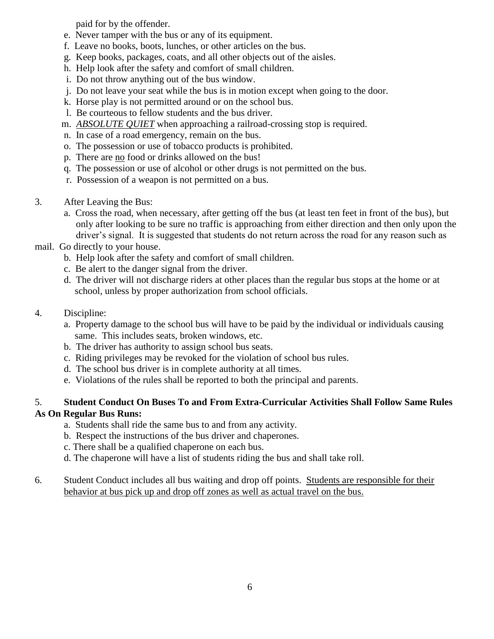paid for by the offender.

- e. Never tamper with the bus or any of its equipment.
- f. Leave no books, boots, lunches, or other articles on the bus.
- g. Keep books, packages, coats, and all other objects out of the aisles.
- h. Help look after the safety and comfort of small children.
- i. Do not throw anything out of the bus window.
- j. Do not leave your seat while the bus is in motion except when going to the door.
- k. Horse play is not permitted around or on the school bus.
- l. Be courteous to fellow students and the bus driver.
- m. *ABSOLUTE QUIET* when approaching a railroad-crossing stop is required.
- n. In case of a road emergency, remain on the bus.
- o. The possession or use of tobacco products is prohibited.
- p. There are no food or drinks allowed on the bus!
- q. The possession or use of alcohol or other drugs is not permitted on the bus.
- r. Possession of a weapon is not permitted on a bus.
- 3. After Leaving the Bus:
	- a. Cross the road, when necessary, after getting off the bus (at least ten feet in front of the bus), but only after looking to be sure no traffic is approaching from either direction and then only upon the driver's signal. It is suggested that students do not return across the road for any reason such as

#### mail. Go directly to your house.

- b. Help look after the safety and comfort of small children.
- c. Be alert to the danger signal from the driver.
- d. The driver will not discharge riders at other places than the regular bus stops at the home or at school, unless by proper authorization from school officials.

#### 4. Discipline:

- a. Property damage to the school bus will have to be paid by the individual or individuals causing same. This includes seats, broken windows, etc.
- b. The driver has authority to assign school bus seats.
- c. Riding privileges may be revoked for the violation of school bus rules.
- d. The school bus driver is in complete authority at all times.
- e. Violations of the rules shall be reported to both the principal and parents.

#### 5. **Student Conduct On Buses To and From Extra-Curricular Activities Shall Follow Same Rules As On Regular Bus Runs:**

- a. Students shall ride the same bus to and from any activity.
- b. Respect the instructions of the bus driver and chaperones.
- c. There shall be a qualified chaperone on each bus.
- d. The chaperone will have a list of students riding the bus and shall take roll.
- 6. Student Conduct includes all bus waiting and drop off points. Students are responsible for their behavior at bus pick up and drop off zones as well as actual travel on the bus.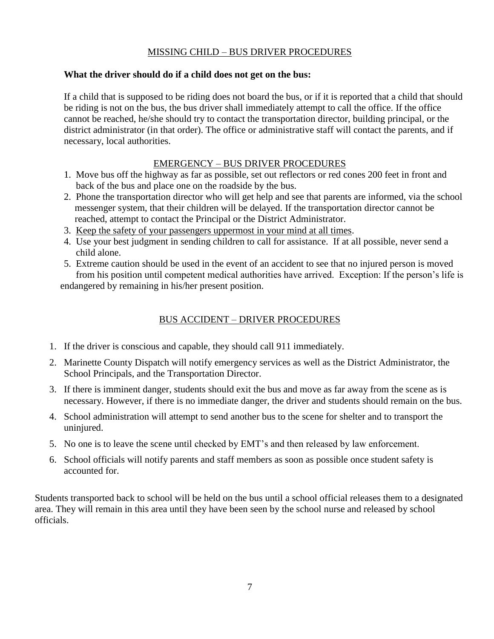#### MISSING CHILD – BUS DRIVER PROCEDURES

#### **What the driver should do if a child does not get on the bus:**

If a child that is supposed to be riding does not board the bus, or if it is reported that a child that should be riding is not on the bus, the bus driver shall immediately attempt to call the office. If the office cannot be reached, he/she should try to contact the transportation director, building principal, or the district administrator (in that order). The office or administrative staff will contact the parents, and if necessary, local authorities.

#### EMERGENCY – BUS DRIVER PROCEDURES

- 1. Move bus off the highway as far as possible, set out reflectors or red cones 200 feet in front and back of the bus and place one on the roadside by the bus.
- 2. Phone the transportation director who will get help and see that parents are informed, via the school messenger system, that their children will be delayed. If the transportation director cannot be reached, attempt to contact the Principal or the District Administrator.
- 3. Keep the safety of your passengers uppermost in your mind at all times.
- 4. Use your best judgment in sending children to call for assistance. If at all possible, never send a child alone.
- 5. Extreme caution should be used in the event of an accident to see that no injured person is moved from his position until competent medical authorities have arrived. Exception: If the person's life is

endangered by remaining in his/her present position.

#### BUS ACCIDENT – DRIVER PROCEDURES

- 1. If the driver is conscious and capable, they should call 911 immediately.
- 2. Marinette County Dispatch will notify emergency services as well as the District Administrator, the School Principals, and the Transportation Director.
- 3. If there is imminent danger, students should exit the bus and move as far away from the scene as is necessary. However, if there is no immediate danger, the driver and students should remain on the bus.
- 4. School administration will attempt to send another bus to the scene for shelter and to transport the uninjured.
- 5. No one is to leave the scene until checked by EMT's and then released by law enforcement.
- 6. School officials will notify parents and staff members as soon as possible once student safety is accounted for.

Students transported back to school will be held on the bus until a school official releases them to a designated area. They will remain in this area until they have been seen by the school nurse and released by school officials.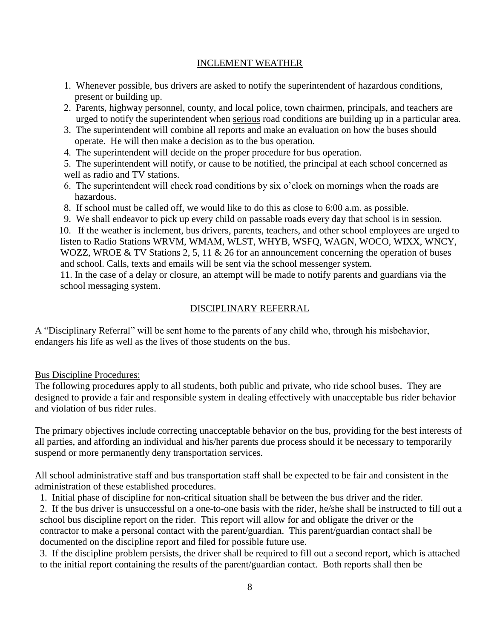#### INCLEMENT WEATHER

- 1. Whenever possible, bus drivers are asked to notify the superintendent of hazardous conditions, present or building up.
- 2. Parents, highway personnel, county, and local police, town chairmen, principals, and teachers are urged to notify the superintendent when serious road conditions are building up in a particular area.
- 3. The superintendent will combine all reports and make an evaluation on how the buses should operate. He will then make a decision as to the bus operation.
- 4. The superintendent will decide on the proper procedure for bus operation.
- 5. The superintendent will notify, or cause to be notified, the principal at each school concerned as well as radio and TV stations.
- 6. The superintendent will check road conditions by six o'clock on mornings when the roads are hazardous.
- 8. If school must be called off, we would like to do this as close to 6:00 a.m. as possible.
- 9. We shall endeavor to pick up every child on passable roads every day that school is in session.

 10. If the weather is inclement, bus drivers, parents, teachers, and other school employees are urged to listen to Radio Stations WRVM, WMAM, WLST, WHYB, WSFQ, WAGN, WOCO, WIXX, WNCY, WOZZ, WROE & TV Stations 2, 5, 11 & 26 for an announcement concerning the operation of buses and school. Calls, texts and emails will be sent via the school messenger system.

11. In the case of a delay or closure, an attempt will be made to notify parents and guardians via the school messaging system.

#### DISCIPLINARY REFERRAL

A "Disciplinary Referral" will be sent home to the parents of any child who, through his misbehavior, endangers his life as well as the lives of those students on the bus.

#### Bus Discipline Procedures:

The following procedures apply to all students, both public and private, who ride school buses. They are designed to provide a fair and responsible system in dealing effectively with unacceptable bus rider behavior and violation of bus rider rules.

The primary objectives include correcting unacceptable behavior on the bus, providing for the best interests of all parties, and affording an individual and his/her parents due process should it be necessary to temporarily suspend or more permanently deny transportation services.

All school administrative staff and bus transportation staff shall be expected to be fair and consistent in the administration of these established procedures.

1. Initial phase of discipline for non-critical situation shall be between the bus driver and the rider.

2. If the bus driver is unsuccessful on a one-to-one basis with the rider, he/she shall be instructed to fill out a school bus discipline report on the rider. This report will allow for and obligate the driver or the contractor to make a personal contact with the parent/guardian. This parent/guardian contact shall be documented on the discipline report and filed for possible future use.

3. If the discipline problem persists, the driver shall be required to fill out a second report, which is attached to the initial report containing the results of the parent/guardian contact. Both reports shall then be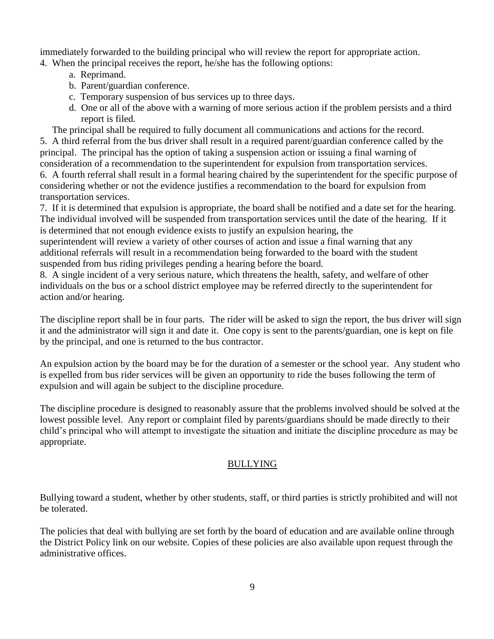immediately forwarded to the building principal who will review the report for appropriate action.

4. When the principal receives the report, he/she has the following options:

- a. Reprimand.
- b. Parent/guardian conference.
- c. Temporary suspension of bus services up to three days.
- d. One or all of the above with a warning of more serious action if the problem persists and a third report is filed.
- The principal shall be required to fully document all communications and actions for the record.

5. A third referral from the bus driver shall result in a required parent/guardian conference called by the principal. The principal has the option of taking a suspension action or issuing a final warning of consideration of a recommendation to the superintendent for expulsion from transportation services.

6. A fourth referral shall result in a formal hearing chaired by the superintendent for the specific purpose of considering whether or not the evidence justifies a recommendation to the board for expulsion from transportation services.

7. If it is determined that expulsion is appropriate, the board shall be notified and a date set for the hearing. The individual involved will be suspended from transportation services until the date of the hearing. If it is determined that not enough evidence exists to justify an expulsion hearing, the

superintendent will review a variety of other courses of action and issue a final warning that any additional referrals will result in a recommendation being forwarded to the board with the student suspended from bus riding privileges pending a hearing before the board.

8. A single incident of a very serious nature, which threatens the health, safety, and welfare of other individuals on the bus or a school district employee may be referred directly to the superintendent for action and/or hearing.

The discipline report shall be in four parts. The rider will be asked to sign the report, the bus driver will sign it and the administrator will sign it and date it. One copy is sent to the parents/guardian, one is kept on file by the principal, and one is returned to the bus contractor.

An expulsion action by the board may be for the duration of a semester or the school year. Any student who is expelled from bus rider services will be given an opportunity to ride the buses following the term of expulsion and will again be subject to the discipline procedure.

The discipline procedure is designed to reasonably assure that the problems involved should be solved at the lowest possible level. Any report or complaint filed by parents/guardians should be made directly to their child's principal who will attempt to investigate the situation and initiate the discipline procedure as may be appropriate.

#### BULLYING

Bullying toward a student, whether by other students, staff, or third parties is strictly prohibited and will not be tolerated.

The policies that deal with bullying are set forth by the board of education and are available online through the District Policy link on our website. Copies of these policies are also available upon request through the administrative offices.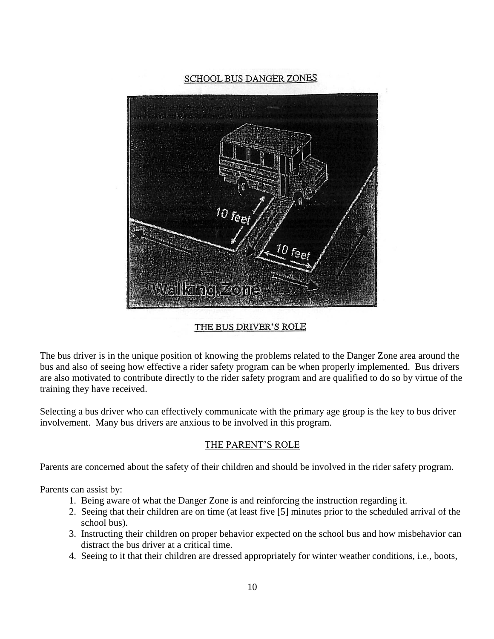#### SCHOOL BUS DANGER ZONES



#### THE BUS DRIVER'S ROLE

The bus driver is in the unique position of knowing the problems related to the Danger Zone area around the bus and also of seeing how effective a rider safety program can be when properly implemented. Bus drivers are also motivated to contribute directly to the rider safety program and are qualified to do so by virtue of the training they have received.

Selecting a bus driver who can effectively communicate with the primary age group is the key to bus driver involvement. Many bus drivers are anxious to be involved in this program.

#### THE PARENT'S ROLE

Parents are concerned about the safety of their children and should be involved in the rider safety program.

Parents can assist by:

- 1. Being aware of what the Danger Zone is and reinforcing the instruction regarding it.
- 2. Seeing that their children are on time (at least five [5] minutes prior to the scheduled arrival of the school bus).
- 3. Instructing their children on proper behavior expected on the school bus and how misbehavior can distract the bus driver at a critical time.
- 4. Seeing to it that their children are dressed appropriately for winter weather conditions, i.e., boots,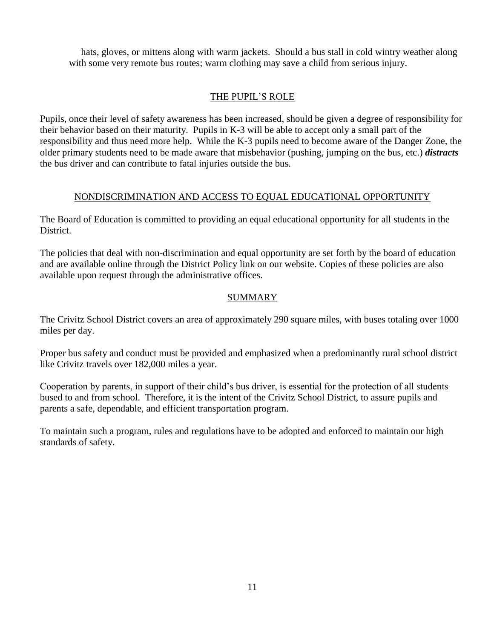hats, gloves, or mittens along with warm jackets. Should a bus stall in cold wintry weather along with some very remote bus routes; warm clothing may save a child from serious injury.

#### THE PUPIL'S ROLE

Pupils, once their level of safety awareness has been increased, should be given a degree of responsibility for their behavior based on their maturity. Pupils in K-3 will be able to accept only a small part of the responsibility and thus need more help. While the K-3 pupils need to become aware of the Danger Zone, the older primary students need to be made aware that misbehavior (pushing, jumping on the bus, etc.) *distracts* the bus driver and can contribute to fatal injuries outside the bus.

#### NONDISCRIMINATION AND ACCESS TO EQUAL EDUCATIONAL OPPORTUNITY

The Board of Education is committed to providing an equal educational opportunity for all students in the District.

The policies that deal with non-discrimination and equal opportunity are set forth by the board of education and are available online through the District Policy link on our website. Copies of these policies are also available upon request through the administrative offices.

#### SUMMARY

The Crivitz School District covers an area of approximately 290 square miles, with buses totaling over 1000 miles per day.

Proper bus safety and conduct must be provided and emphasized when a predominantly rural school district like Crivitz travels over 182,000 miles a year.

Cooperation by parents, in support of their child's bus driver, is essential for the protection of all students bused to and from school. Therefore, it is the intent of the Crivitz School District, to assure pupils and parents a safe, dependable, and efficient transportation program.

To maintain such a program, rules and regulations have to be adopted and enforced to maintain our high standards of safety.